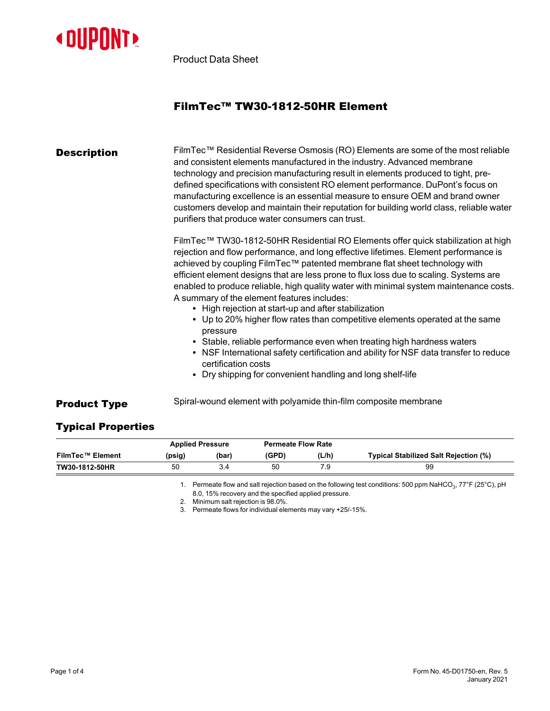

Product Data Sheet

## FilmTec™ TW30-1812-50HR Element

| <b>Description</b> | FilmTec™ Residential Reverse Osmosis (RO) Elements are some of the most reliable<br>and consistent elements manufactured in the industry. Advanced membrane<br>technology and precision manufacturing result in elements produced to tight, pre-<br>defined specifications with consistent RO element performance. DuPont's focus on<br>manufacturing excellence is an essential measure to ensure OEM and brand owner<br>customers develop and maintain their reputation for building world class, reliable water<br>purifiers that produce water consumers can trust.                                                            |  |  |  |  |  |
|--------------------|------------------------------------------------------------------------------------------------------------------------------------------------------------------------------------------------------------------------------------------------------------------------------------------------------------------------------------------------------------------------------------------------------------------------------------------------------------------------------------------------------------------------------------------------------------------------------------------------------------------------------------|--|--|--|--|--|
|                    | FilmTec™ TW30-1812-50HR Residential RO Elements offer quick stabilization at high<br>rejection and flow performance, and long effective lifetimes. Element performance is<br>achieved by coupling FilmTec™ patented membrane flat sheet technology with<br>efficient element designs that are less prone to flux loss due to scaling. Systems are<br>enabled to produce reliable, high quality water with minimal system maintenance costs.<br>A summary of the element features includes:<br>• High rejection at start-up and after stabilization<br>• Up to 20% higher flow rates than competitive elements operated at the same |  |  |  |  |  |
|                    | pressure<br>• Stable, reliable performance even when treating high hardness waters<br>• NSF International safety certification and ability for NSF data transfer to reduce<br>certification costs<br>Dry shipping for convenient handling and long shelf-life                                                                                                                                                                                                                                                                                                                                                                      |  |  |  |  |  |
|                    | On book assessed to be assessed as the model consider the book of the conservation as a model of                                                                                                                                                                                                                                                                                                                                                                                                                                                                                                                                   |  |  |  |  |  |

**Product Type** Spiral-wound element with polyamide thin-film composite membrane

## Typical Properties

|                         | <b>Applied Pressure</b> |       | <b>Permeate Flow Rate</b> |       |                                       |
|-------------------------|-------------------------|-------|---------------------------|-------|---------------------------------------|
| <b>FilmTec™ Element</b> | (psig)                  | (bar) | (GPD)                     | (L/h) | Typical Stabilized Salt Rejection (%) |
| TW30-1812-50HR          | 50                      |       | 50                        | 7.9   | 99                                    |

1. Permeate flow and salt rejection based on the following test conditions: 500 ppm NaHCO $_3$ , 77°F (25°C), pH 8.0, 15% recovery and the specified applied pressure.

2. Minimum salt rejection is 98.0%.

3. Permeate flows for individual elements may vary +25/-15%.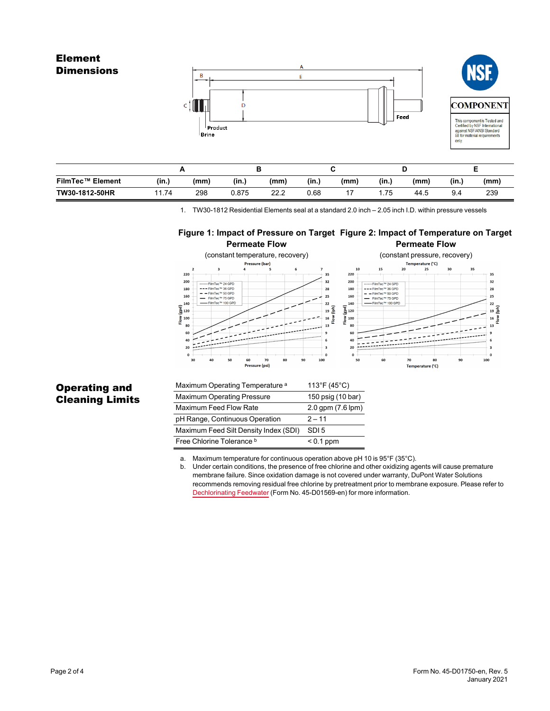# Element **Dimensions** B



| <b>FilmTec™ Element</b> | (in.) | (mm) | (in.) | (mm) | (in.) | (mm) | (in.) | (mm  | (in., | (mm) |  |
|-------------------------|-------|------|-------|------|-------|------|-------|------|-------|------|--|
| TW30-1812-50HR          | 1.74  | 298  | 0.875 | 22.2 | 0.68  |      | .75   | 44.5 | 9.4   | 239  |  |

1. TW30-1812 Residential Elements seal at a standard 2.0 inch – 2.05 inch I.D. within pressure vessels

#### **Figure 1: Impact of Pressure on Target Figure 2: Impact of Temperature on Target Permeate Flow Permeate Flow**



### Operating and Cleaning Limits

| Maximum Operating Temperature <sup>a</sup> | $113^{\circ}F(45^{\circ}C)$ |
|--------------------------------------------|-----------------------------|
| <b>Maximum Operating Pressure</b>          | 150 psig (10 bar)           |
| Maximum Feed Flow Rate                     | 2.0 gpm (7.6 lpm)           |
| pH Range, Continuous Operation             | $2 - 11$                    |
| Maximum Feed Silt Density Index (SDI)      | SDI <sub>5</sub>            |
| Free Chlorine Tolerance b                  | $< 0.1$ ppm                 |

a. Maximum temperature for continuous operation above pH 10 is 95°F (35°C).

b. Under certain conditions, the presence of free chlorine and other oxidizing agents will cause premature membrane failure. Since oxidation damage is not covered under warranty, DuPont Water Solutions recommends removing residual free chlorine by pretreatment prior to membrane exposure. Please refer to [Dechlorinating](https://www.dupont.com/content/dam/dupont/amer/us/en/water-solutions/public/documents/en/RO-NF-FilmTec-Chlorination-Dechlorination-Manual-Exc-45-D01569-en.pdf) Feedwater (Form No. 45-D01569-en) for more information.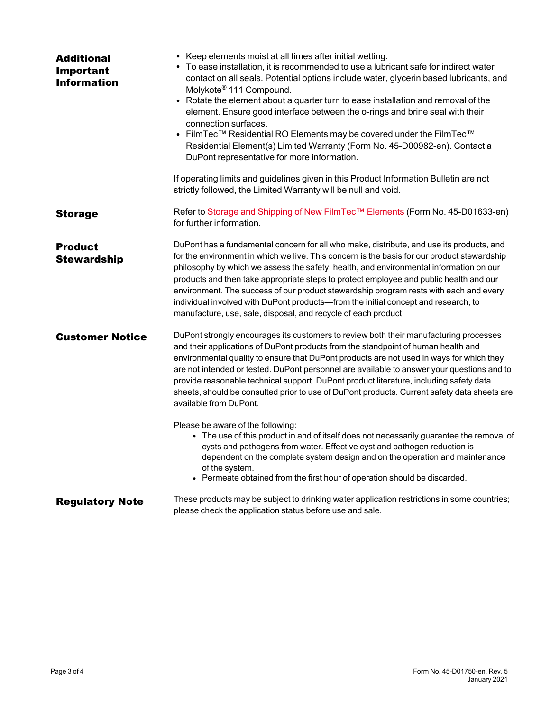| <b>Additional</b><br>Important<br><b>Information</b> | • Keep elements moist at all times after initial wetting.<br>• To ease installation, it is recommended to use a lubricant safe for indirect water<br>contact on all seals. Potential options include water, glycerin based lubricants, and<br>Molykote <sup>®</sup> 111 Compound.<br>• Rotate the element about a quarter turn to ease installation and removal of the<br>element. Ensure good interface between the o-rings and brine seal with their<br>connection surfaces.<br>• FilmTec™ Residential RO Elements may be covered under the FilmTec™<br>Residential Element(s) Limited Warranty (Form No. 45-D00982-en). Contact a<br>DuPont representative for more information.<br>If operating limits and guidelines given in this Product Information Bulletin are not |
|------------------------------------------------------|------------------------------------------------------------------------------------------------------------------------------------------------------------------------------------------------------------------------------------------------------------------------------------------------------------------------------------------------------------------------------------------------------------------------------------------------------------------------------------------------------------------------------------------------------------------------------------------------------------------------------------------------------------------------------------------------------------------------------------------------------------------------------|
|                                                      | strictly followed, the Limited Warranty will be null and void.                                                                                                                                                                                                                                                                                                                                                                                                                                                                                                                                                                                                                                                                                                               |
| <b>Storage</b>                                       | Refer to Storage and Shipping of New FilmTec™ Elements (Form No. 45-D01633-en)<br>for further information.                                                                                                                                                                                                                                                                                                                                                                                                                                                                                                                                                                                                                                                                   |
| <b>Product</b><br><b>Stewardship</b>                 | DuPont has a fundamental concern for all who make, distribute, and use its products, and<br>for the environment in which we live. This concern is the basis for our product stewardship<br>philosophy by which we assess the safety, health, and environmental information on our<br>products and then take appropriate steps to protect employee and public health and our<br>environment. The success of our product stewardship program rests with each and every<br>individual involved with DuPont products-from the initial concept and research, to<br>manufacture, use, sale, disposal, and recycle of each product.                                                                                                                                                 |
| <b>Customer Notice</b>                               | DuPont strongly encourages its customers to review both their manufacturing processes<br>and their applications of DuPont products from the standpoint of human health and<br>environmental quality to ensure that DuPont products are not used in ways for which they<br>are not intended or tested. DuPont personnel are available to answer your questions and to<br>provide reasonable technical support. DuPont product literature, including safety data<br>sheets, should be consulted prior to use of DuPont products. Current safety data sheets are<br>available from DuPont.                                                                                                                                                                                      |
|                                                      | Please be aware of the following:<br>• The use of this product in and of itself does not necessarily guarantee the removal of<br>cysts and pathogens from water. Effective cyst and pathogen reduction is<br>dependent on the complete system design and on the operation and maintenance<br>of the system.<br>• Permeate obtained from the first hour of operation should be discarded.                                                                                                                                                                                                                                                                                                                                                                                     |
| <b>Regulatory Note</b>                               | These products may be subject to drinking water application restrictions in some countries;<br>please check the application status before use and sale.                                                                                                                                                                                                                                                                                                                                                                                                                                                                                                                                                                                                                      |